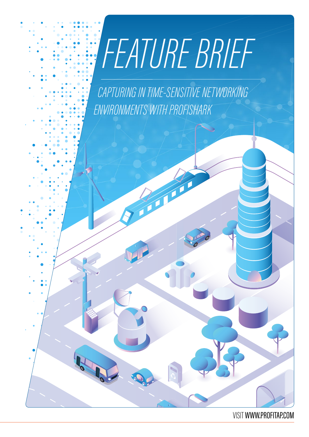# *FEATURE BRIEF*

*CAPTURING IN TIME-SENSITIVE NETWORKING ENVIRONMENTS WITH PROFISHARK*

#### VISIT [WWW.PROFITAP.COM](http://www.profitap.com)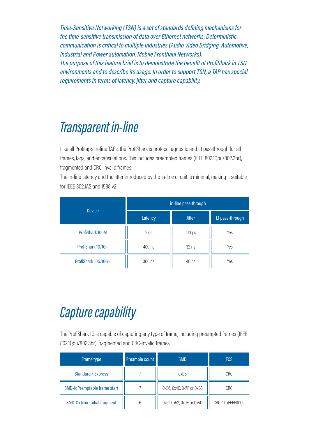*Time-Sensitive Networking (TSN) is a set of standards defining mechanisms for the time-sensitive transmission of data over Ethernet networks. Deterministic communication is critical to multiple industries (Audio Video Bridging, Automotive, Industrial and Power automation, Mobile Fronthaul Networks). The purpose of this feature brief is to demonstrate the benefit of ProfiShark in TSN environments and to describe its usage. In order to support TSN, a TAP has special requirements in terms of latency, jitter and capture capability.*

#### *Transparent in-line*

Like all Profitap's in-line TAPs, the ProfiShark is protocol agnostic and L1 passthrough for all frames, tags, and encapsulations. This includes preempted frames (IEEE 802.1Qbu/802.3br), fragmented and CRC-invalid frames.

The in-line latency and the jitter introduced by the in-line circuit is minimal, making it suitable for IEEE 802.1AS and 1588 v2.

| <b>Device</b>       | in-line pass-through |               |                 |  |  |
|---------------------|----------------------|---------------|-----------------|--|--|
|                     | Latency              | <b>Jitter</b> | L1 pass-through |  |  |
| ProfiShark 100M     | 2 <sub>ns</sub>      | 100 ps        | Yes             |  |  |
| ProfiShark 1G/1G+   | 400 ns               | $32$ ns       | Yes             |  |  |
| ProfiShark 10G/10G+ | $300$ ns             | $40$ ns       | Yes             |  |  |

### *Capture capability*

The ProfiShark 1G is capable of capturing any type of frame, including preempted frames (IEEE 802.1Qbu/802.3br), fragmented and CRC-invalid frames.

| Frame type                         | Preamble count | <b>SMD</b>               | <b>FCS</b>       |  |
|------------------------------------|----------------|--------------------------|------------------|--|
| <b>Standard / Express</b>          |                | 0xD5                     | <b>CRC</b>       |  |
| SMD-Ix Premptable frame start      |                | OxE6, Ox4C, Ox7F or OxB3 | CRC              |  |
| <b>SMD-Cx Non-initial fragment</b> |                | 0x61, 0x52, 0x9E or 0xAD | CRC ^ 0xFFFF0000 |  |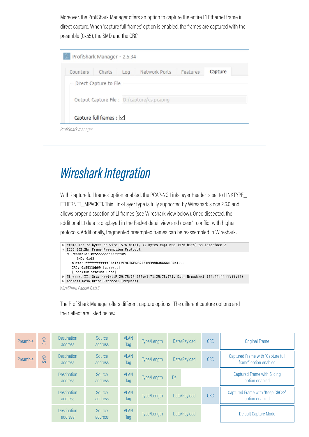Moreover, the ProfiShark Manager offers an option to capture the entire L1 Ethernet frame in direct capture. When 'capture full frames' option is enabled, the frames are captured with the preamble (0x55), the SMD and the CRC.

| <b>A</b> ProfiShark Manager - 2.5.34 |                                   |     |                                            |          |         |
|--------------------------------------|-----------------------------------|-----|--------------------------------------------|----------|---------|
| Counters                             | Charts                            | Log | Network Ports                              | Features | Capture |
|                                      | Direct Capture to File            |     | Output Capture File : D:/capture/cs.pcapng |          |         |
|                                      | Capture full frames : $\boxtimes$ |     |                                            |          |         |

*ProfiShark manager*

### *Wireshark Integration*

With 'capture full frames' option enabled, the PCAP-NG Link-Layer Header is set to LINKTYPE\_ ETHERNET\_MPACKET. This Link-Layer type is fully supported by Wireshark since 2.6.0 and allows proper dissection of L1 frames (see Wireshark view below). Once dissected, the additional L1 data is displayed in the Packet detail view and doesn't conflict with higher protocols. Additionally, fragmented preempted frames can be reassembled in Wireshark.

```
Frame 12: 72 bytes on wire (576 bits), 72 bytes captured (576 bits) on interface 2
▼ IEEE 802.3br Frame Preemption Protocol
  ▼ Preamble: 0x5555555555555555555
      SMD: 0xd5
    mData: fffffffffffff30e1712978780806000108000604000130e1...
    CRC: 0x8911bb09 [correct]
    [Checksum Status: Good]
Ethernet II, Src: HewlettP_29:78:78 (30:e1:71:29:78:78), Dst: Broadcast (ff:ff:ff:ff:ff:ff:ff
Address Resolution Protocol (request)
```
*WireShark Packet Detail*

The ProfiShark Manager offers different capture options. The different capture options and their effect are listed below.

| Preamble | SMD | <b>Destination</b><br>address | Source<br>address | <b>VLAN</b><br>Tag | Type/Length | Data/Payload | <b>CRC</b> | Original Frame                                             |
|----------|-----|-------------------------------|-------------------|--------------------|-------------|--------------|------------|------------------------------------------------------------|
| Preamble | SMD | <b>Destination</b><br>address | Source<br>address | <b>VLAN</b><br>Tag | Type/Length | Data/Payload | <b>CRC</b> | Captured Frame with "Capture full<br>frame" option enabled |
|          |     | <b>Destination</b><br>address | Source<br>address | <b>VLAN</b><br>Tag | Type/Length | Da           |            | Captured Frame with Slicing<br>option enabled              |
|          |     | <b>Destination</b><br>address | Source<br>address | <b>VLAN</b><br>Tag | Type/Length | Data/Payload | <b>CRC</b> | Captured Frame with "Keep CRC32"<br>option enabled         |
|          |     | <b>Destination</b><br>address | Source<br>address | <b>VLAN</b><br>Tag | Type/Length | Data/Payload |            | Default Capture Mode                                       |